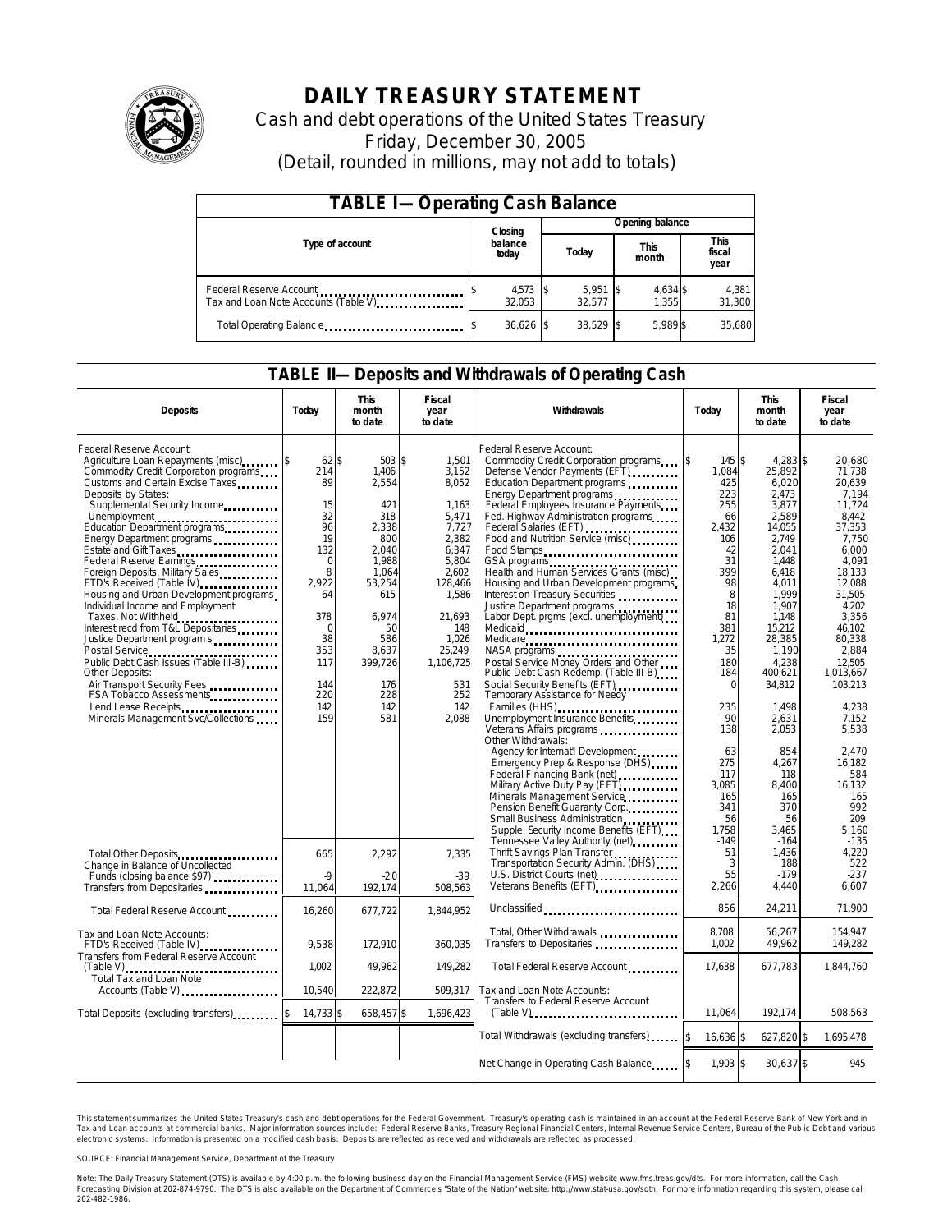

# **DAILY TREASURY STATEMENT**

Cash and debt operations of the United States Treasury Friday, December 30, 2005 (Detail, rounded in millions, may not add to totals)

| <b>TABLE I-Operating Cash Balance</b>                            |  |                      |  |                 |  |                      |  |                               |  |  |
|------------------------------------------------------------------|--|----------------------|--|-----------------|--|----------------------|--|-------------------------------|--|--|
|                                                                  |  | Closing              |  | Opening balance |  |                      |  |                               |  |  |
| Type of account                                                  |  | balance<br>today     |  | Today           |  | <b>This</b><br>month |  | <b>This</b><br>fiscal<br>year |  |  |
| Federal Reserve Account<br>Tax and Loan Note Accounts (Table V). |  | $4,573$ \$<br>32.053 |  | 5,951<br>32.577 |  | 4,634 \$<br>1.355    |  | 4,381<br>31,300               |  |  |
| Total Operating Balance                                          |  | $36,626$ \$          |  | 38.529          |  | 5.989 \$             |  | 35,680                        |  |  |

#### **TABLE II—Deposits and Withdrawals of Operating Cash**

| <b>Deposits</b>                                                     | Today          | <b>This</b><br>month<br>to date | <b>Fiscal</b><br>year<br>to date | Withdrawals                                                                      | Today                  | <b>This</b><br>month<br>to date | <b>Fiscal</b><br>year<br>to date |
|---------------------------------------------------------------------|----------------|---------------------------------|----------------------------------|----------------------------------------------------------------------------------|------------------------|---------------------------------|----------------------------------|
| Federal Reserve Account:                                            |                |                                 |                                  | Federal Reserve Account:                                                         |                        |                                 |                                  |
| Commodity Credit Corporation programs                               | $62\$<br>214   | 503 \$<br>1.406                 | 1.501<br>3,152                   | Commodity Credit Corporation programs<br>Defense Vendor Payments (EFT)           | 145 \$<br>1\$<br>1.084 | 4,283 \$<br>25,892              | 20.680<br>71.738                 |
| Customs and Certain Excise Taxes                                    | 89             | 2,554                           | 8,052                            | Education Department programs                                                    | 425                    | 6,020                           | 20.639                           |
| Deposits by States:                                                 |                |                                 |                                  | Energy Department programs                                                       | 223                    | 2.473                           | 7,194                            |
| Supplemental Security Income                                        | 15<br>32       | 421<br>318                      | 1,163                            | Federal Employees Insurance Payments                                             | 255<br>66              | 3,877<br>2.589                  | 11,724                           |
| Unemployment<br>Education Department programs                       | 96             | 2.338                           | 5,471<br>7,727                   | Fed. Highway Administration programs<br>Federal Salaries (EFT)                   | 2.432                  | 14.055                          | 8.442<br>37,353                  |
| Energy Department programs                                          | 19             | 800                             | 2,382                            | Food and Nutrition Service (misc)                                                | 106                    | 2.749                           | 7.750                            |
| Estate and Gift Taxes                                               | 132            | 2.040                           | 6,347                            | Food Stamps                                                                      | 42                     | 2.041                           | 6.000                            |
| Federal Reserve Earnings                                            | $\Omega$       | 1,988                           | 5,804                            | GSA programs<br>Health and Human Services Grants (misc)                          | 31                     | 1.448                           | 4.091                            |
| Foreign Deposits, Military Sales<br>FTD's Received (Table IV)       | 8<br>2,922     | 1,064<br>53,254                 | 2.602<br>128,466                 | Housing and Urban Development programs                                           | 399<br>98              | 6.418<br>4,011                  | 18.133<br>12,088                 |
| Housing and Urban Development programs                              | 64             | 615                             | 1,586                            | Interest on Treasury Securities                                                  | 8                      | 1,999                           | 31,505                           |
| Individual Income and Employment                                    |                |                                 |                                  | Justice Department programs                                                      | 18                     | 1.907                           | 4.202                            |
| Taxes, Not Withheld                                                 | 378            | 6.974                           | 21,693                           | Labor Dept. prgms (excl. unemployment)                                           | 81                     | 1.148                           | 3,356                            |
| Interest recd from T&L Depositaries<br>Justice Department program s | 0<br>38        | 50<br>586                       | 148<br>1,026                     | Medicaid                                                                         | 381<br>1,272           | 15.212<br>28,385                | 46.102<br>80,338                 |
|                                                                     | 353            | 8,637                           | 25,249                           | Medicare                                                                         | 35                     | 1,190                           | 2.884                            |
| Public Debt Cash Issues (Table III-B)                               | 117            | 399,726                         | 1,106,725                        | Postal Service Money Orders and Other                                            | 180                    | 4,238                           | 12.505                           |
| Other Deposits:                                                     |                |                                 |                                  | Public Debt Cash Redemp. (Table III-B)                                           | 184                    | 400,621                         | 1,013,667                        |
| Air Transport Security Fees                                         | 144<br>220     | 176<br>228                      | 531<br>252                       | Social Security Benefits (EFT)<br>                                               | $\Omega$               | 34,812                          | 103,213                          |
| FSA Tobacco Assessments<br>Lend Lease Receipts                      | 142            | 142                             | 142                              | Temporary Assistance for Needy<br>Families (HHS)                                 | 235                    | 1.498                           | 4.238                            |
| Minerals Management Svc/Collections                                 | 159            | 581                             | 2,088                            | Unemployment Insurance Benefits                                                  | 90                     | 2,631                           | 7.152                            |
|                                                                     |                |                                 |                                  |                                                                                  | 138                    | 2,053                           | 5,538                            |
|                                                                     |                |                                 |                                  | Other Withdrawals:                                                               |                        |                                 |                                  |
|                                                                     |                |                                 |                                  | Agency for Internat'l Development<br>Emergency Prep & Response (DHS)             | 63<br>275              | 854<br>4,267                    | 2.470<br>16,182                  |
|                                                                     |                |                                 |                                  | Federal Financing Bank (net)                                                     | $-117$                 | 118                             | 584                              |
|                                                                     |                |                                 |                                  | Military Active Duty Pay (EFT)                                                   | 3.085                  | 8.400                           | 16,132                           |
|                                                                     |                |                                 |                                  | Minerals Management Service                                                      | 165                    | 165                             | 165                              |
|                                                                     |                |                                 |                                  | Pension Benefit Guaranty Corp.                                                   | 341                    | 370                             | 992                              |
|                                                                     |                |                                 |                                  | Small Business Administration<br>Supple. Security Income Benefits (EFT)          | 56<br>1.758            | 56<br>3.465                     | 209<br>5.160                     |
|                                                                     |                |                                 |                                  | Tennessee Valley Authority (net)                                                 | $-149$                 | $-164$                          | $-135$                           |
| Total Other Deposits                                                | 665            | 2,292                           | 7,335                            | Thrift Savings Plan Transfer<br>Transportation Security Admin. (DHS)             | 51                     | 1,436                           | 4,220                            |
| Change in Balance of Uncollected                                    |                |                                 |                                  |                                                                                  | 3                      | 188                             | 522                              |
| Funds (closing balance \$97)                                        | $\overline{Q}$ | $-20$                           | $-39$                            | U.S. District Courts (net)<br>Veterans Benefits (EFT)<br>Veterans Benefits (EFT) | 55<br>2,266            | $-179$<br>4,440                 | $-237$<br>6,607                  |
|                                                                     | 11,064         | 192,174                         | 508,563                          |                                                                                  |                        |                                 |                                  |
| Total Federal Reserve Account                                       | 16,260         | 677,722                         | 1,844,952                        | Unclassified                                                                     | 856                    | 24,211                          | 71,900                           |
| Tax and Loan Note Accounts:                                         |                |                                 |                                  | Total, Other Withdrawals                                                         | 8,708                  | 56,267                          | 154,947                          |
| FTD's Received (Table IV)                                           | 9.538          | 172,910                         | 360,035                          | Transfers to Depositaries                                                        | 1,002                  | 49,962                          | 149,282                          |
| Transfers from Federal Reserve Account                              |                |                                 |                                  |                                                                                  |                        |                                 |                                  |
| $(Table V)$                                                         | 1,002          | 49,962                          | 149,282                          | Total Federal Reserve Account                                                    | 17.638                 | 677,783                         | 1,844,760                        |
| Total Tax and Loan Note<br>Accounts (Table V)                       | 10.540         | 222.872                         | 509.317                          | Tax and Loan Note Accounts:                                                      |                        |                                 |                                  |
|                                                                     |                |                                 |                                  | Transfers to Federal Reserve Account                                             |                        |                                 |                                  |
| Total Deposits (excluding transfers) [100]                          | $14,733$ \$    | 658,457\$                       | 1,696,423                        | $(Table V)$                                                                      | 11,064                 | 192,174                         | 508,563                          |
|                                                                     |                |                                 |                                  | Total Withdrawals (excluding transfers) states                                   | 16,636 \$              | 627,820 \$                      | 1,695,478                        |
|                                                                     |                |                                 |                                  | Net Change in Operating Cash Balance                                             | $-1,903$ \$            | 30,637 \$                       | 945                              |

This statement summarizes the United States Treasury's cash and debt operations for the Federal Government. Treasury's operating cash is maintained in an account at the Federal Reserve Bank of New York and in Tax and Loan accounts at commercial banks. Major information sources include: Federal Reserve Banks, Treasury Regional Financial Centers, Internal Revenue Service Centers, Bureau of the Public Debt and various electronic systems. Information is presented on a modified cash basis. Deposits are reflected as received and withdrawals are reflected as processed.

SOURCE: Financial Management Service, Department of the Treasury

Note: The Daily Treasury Statement (DTS) is available by 4:00 p.m. the following business day on the Financial Management Service (FMS) website www.fms.treas.gov/dts. For more information, call the Cash Forecasting Division at 202-874-9790. The DTS is also available on the Department of Commerce's "State of the Nation" website: http://www.stat-usa.gov/sotn. For more information regarding this system, please call<br>202-482-1